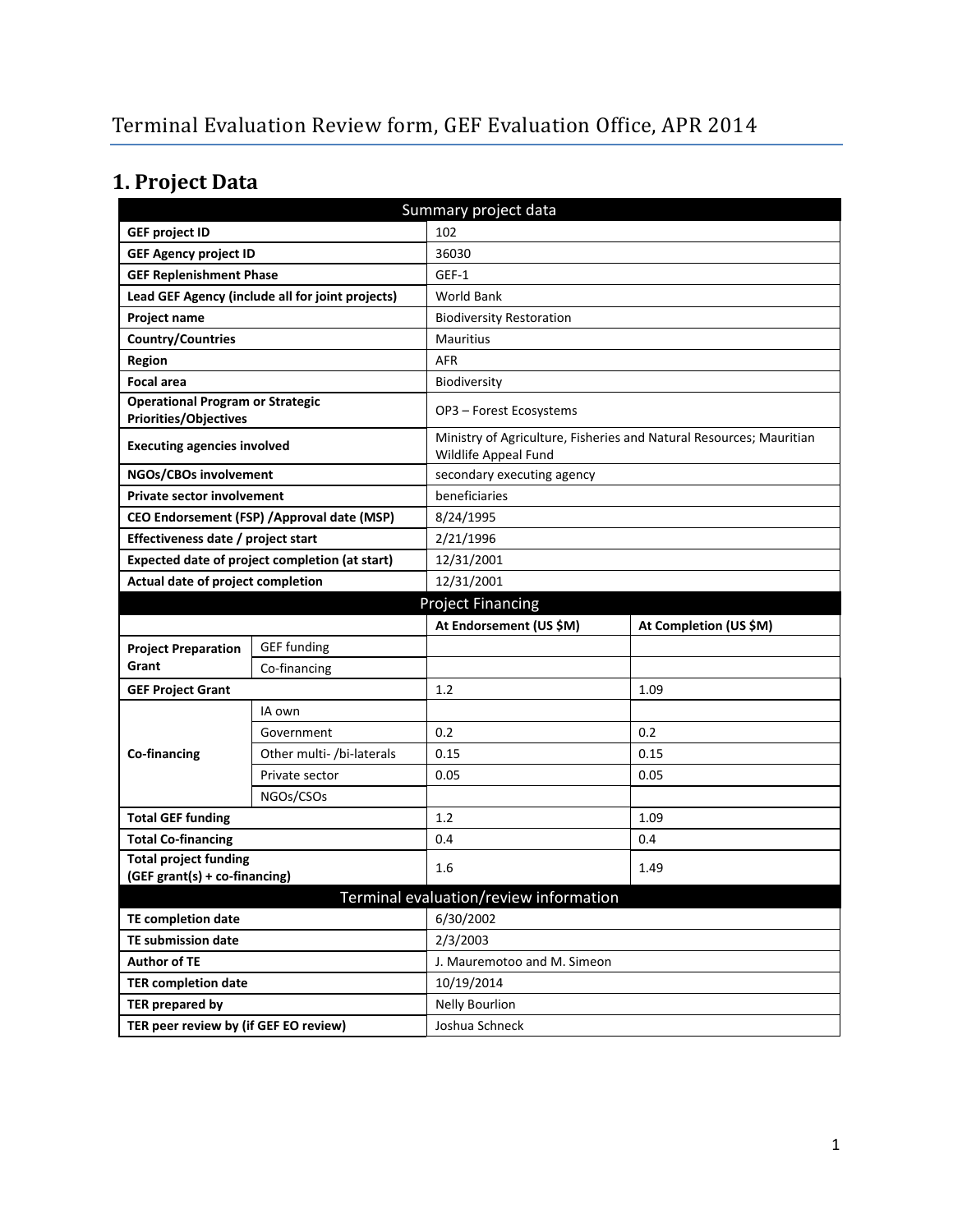# **1. Project Data**

| Summary project data                                                    |                           |                                                                                             |                        |  |  |
|-------------------------------------------------------------------------|---------------------------|---------------------------------------------------------------------------------------------|------------------------|--|--|
| <b>GEF project ID</b>                                                   |                           | 102                                                                                         |                        |  |  |
| <b>GEF Agency project ID</b>                                            |                           | 36030                                                                                       |                        |  |  |
| <b>GEF Replenishment Phase</b>                                          |                           | GEF-1                                                                                       |                        |  |  |
| Lead GEF Agency (include all for joint projects)                        |                           | World Bank                                                                                  |                        |  |  |
| Project name                                                            |                           | <b>Biodiversity Restoration</b>                                                             |                        |  |  |
| <b>Country/Countries</b>                                                |                           | <b>Mauritius</b>                                                                            |                        |  |  |
| Region                                                                  |                           | <b>AFR</b>                                                                                  |                        |  |  |
| <b>Focal area</b>                                                       |                           | Biodiversity                                                                                |                        |  |  |
| <b>Operational Program or Strategic</b><br><b>Priorities/Objectives</b> |                           | OP3 - Forest Ecosystems                                                                     |                        |  |  |
| <b>Executing agencies involved</b>                                      |                           | Ministry of Agriculture, Fisheries and Natural Resources; Mauritian<br>Wildlife Appeal Fund |                        |  |  |
| NGOs/CBOs involvement                                                   |                           | secondary executing agency                                                                  |                        |  |  |
| <b>Private sector involvement</b>                                       |                           | beneficiaries                                                                               |                        |  |  |
| CEO Endorsement (FSP) / Approval date (MSP)                             |                           | 8/24/1995                                                                                   |                        |  |  |
| Effectiveness date / project start                                      |                           | 2/21/1996                                                                                   |                        |  |  |
| Expected date of project completion (at start)                          |                           | 12/31/2001                                                                                  |                        |  |  |
| Actual date of project completion                                       |                           | 12/31/2001                                                                                  |                        |  |  |
| <b>Project Financing</b>                                                |                           |                                                                                             |                        |  |  |
|                                                                         |                           | At Endorsement (US \$M)                                                                     | At Completion (US \$M) |  |  |
| <b>Project Preparation</b>                                              | <b>GEF</b> funding        |                                                                                             |                        |  |  |
| Grant                                                                   | Co-financing              |                                                                                             |                        |  |  |
| <b>GEF Project Grant</b>                                                |                           | 1.2                                                                                         | 1.09                   |  |  |
|                                                                         | IA own                    |                                                                                             |                        |  |  |
|                                                                         | Government                | 0.2                                                                                         | 0.2                    |  |  |
| Co-financing                                                            | Other multi- /bi-laterals | 0.15                                                                                        | 0.15                   |  |  |
|                                                                         | Private sector            | 0.05                                                                                        | 0.05                   |  |  |
|                                                                         | NGOs/CSOs                 |                                                                                             |                        |  |  |
| <b>Total GEF funding</b>                                                |                           | 1.2                                                                                         | 1.09                   |  |  |
| <b>Total Co-financing</b>                                               |                           | 0.4                                                                                         | 0.4                    |  |  |
| <b>Total project funding</b>                                            |                           | 1.6                                                                                         | 1.49                   |  |  |
| (GEF grant(s) + co-financing)                                           |                           |                                                                                             |                        |  |  |
|                                                                         |                           | Terminal evaluation/review information                                                      |                        |  |  |
| <b>TE completion date</b>                                               |                           | 6/30/2002                                                                                   |                        |  |  |
| <b>TE submission date</b>                                               |                           | 2/3/2003                                                                                    |                        |  |  |
| <b>Author of TE</b>                                                     |                           | J. Mauremotoo and M. Simeon                                                                 |                        |  |  |
| <b>TER completion date</b>                                              |                           | 10/19/2014                                                                                  |                        |  |  |
| <b>TER prepared by</b>                                                  |                           | <b>Nelly Bourlion</b>                                                                       |                        |  |  |
| TER peer review by (if GEF EO review)                                   |                           | Joshua Schneck                                                                              |                        |  |  |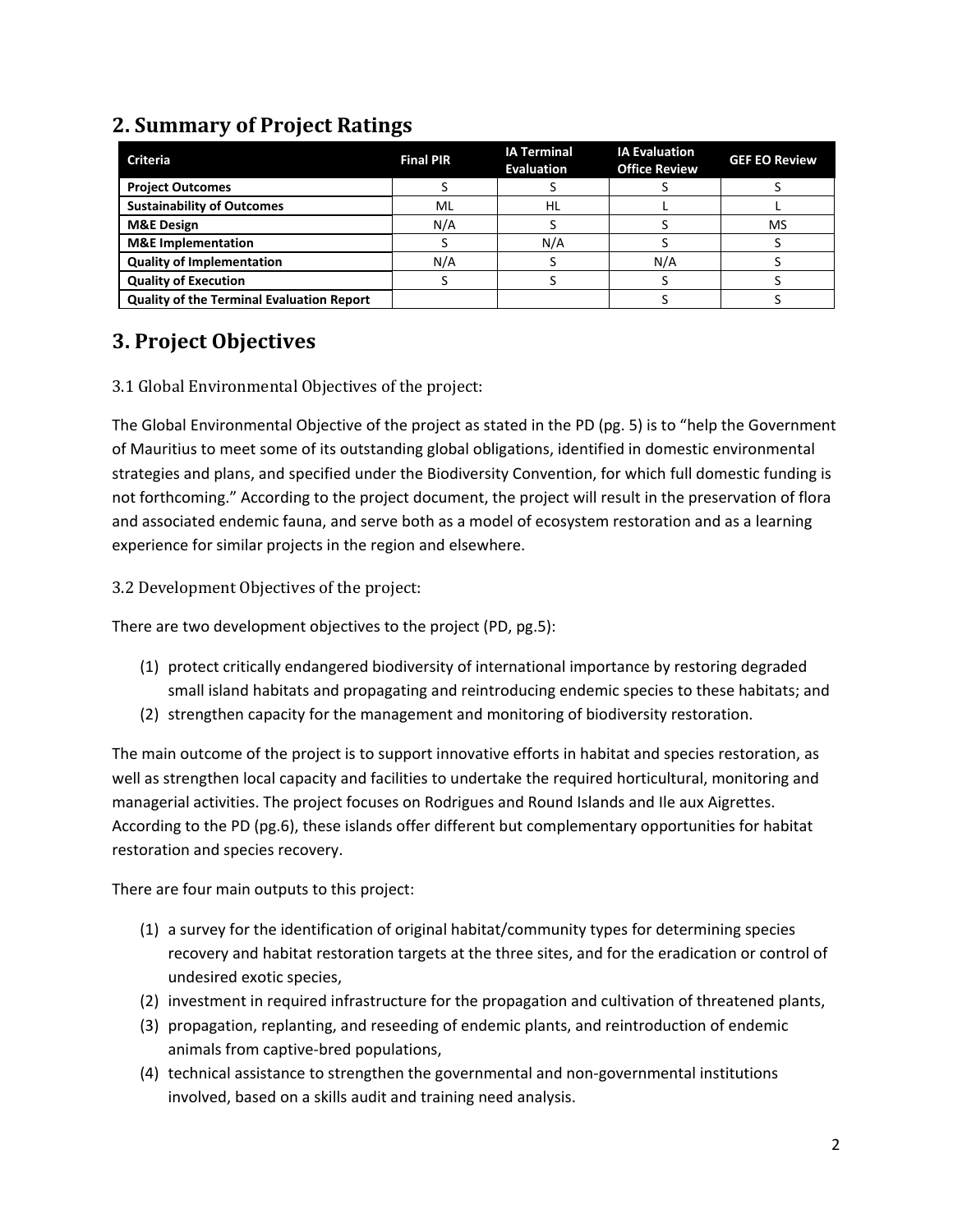## **2. Summary of Project Ratings**

| <b>Criteria</b>                                  | <b>Final PIR</b> | <b>IA Terminal</b><br><b>Evaluation</b> | <b>IA Evaluation</b><br><b>Office Review</b> | <b>GEF EO Review</b> |
|--------------------------------------------------|------------------|-----------------------------------------|----------------------------------------------|----------------------|
| <b>Project Outcomes</b>                          |                  |                                         |                                              |                      |
| <b>Sustainability of Outcomes</b>                | ML               | HL                                      |                                              |                      |
| <b>M&amp;E Design</b>                            | N/A              |                                         |                                              | MS                   |
| <b>M&amp;E</b> Implementation                    |                  | N/A                                     |                                              |                      |
| <b>Quality of Implementation</b>                 | N/A              |                                         | N/A                                          |                      |
| <b>Quality of Execution</b>                      |                  |                                         |                                              |                      |
| <b>Quality of the Terminal Evaluation Report</b> |                  |                                         |                                              |                      |

## **3. Project Objectives**

#### 3.1 Global Environmental Objectives of the project:

The Global Environmental Objective of the project as stated in the PD (pg. 5) is to "help the Government of Mauritius to meet some of its outstanding global obligations, identified in domestic environmental strategies and plans, and specified under the Biodiversity Convention, for which full domestic funding is not forthcoming." According to the project document, the project will result in the preservation of flora and associated endemic fauna, and serve both as a model of ecosystem restoration and as a learning experience for similar projects in the region and elsewhere.

3.2 Development Objectives of the project:

There are two development objectives to the project (PD, pg.5):

- (1) protect critically endangered biodiversity of international importance by restoring degraded small island habitats and propagating and reintroducing endemic species to these habitats; and
- (2) strengthen capacity for the management and monitoring of biodiversity restoration.

The main outcome of the project is to support innovative efforts in habitat and species restoration, as well as strengthen local capacity and facilities to undertake the required horticultural, monitoring and managerial activities. The project focuses on Rodrigues and Round Islands and Ile aux Aigrettes. According to the PD (pg.6), these islands offer different but complementary opportunities for habitat restoration and species recovery.

There are four main outputs to this project:

- (1) a survey for the identification of original habitat/community types for determining species recovery and habitat restoration targets at the three sites, and for the eradication or control of undesired exotic species,
- (2) investment in required infrastructure for the propagation and cultivation of threatened plants,
- (3) propagation, replanting, and reseeding of endemic plants, and reintroduction of endemic animals from captive-bred populations,
- (4) technical assistance to strengthen the governmental and non-governmental institutions involved, based on a skills audit and training need analysis.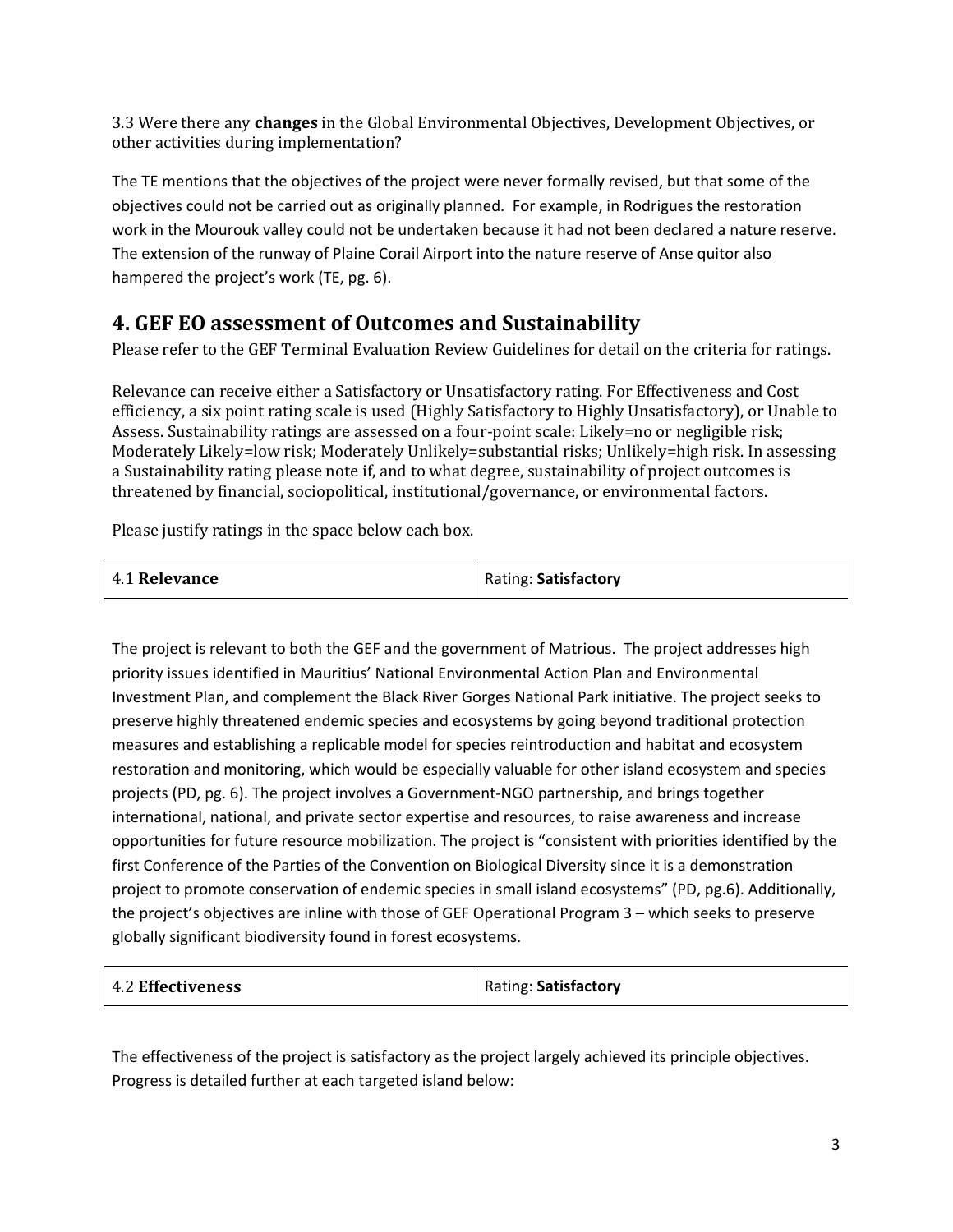3.3 Were there any **changes** in the Global Environmental Objectives, Development Objectives, or other activities during implementation?

The TE mentions that the objectives of the project were never formally revised, but that some of the objectives could not be carried out as originally planned. For example, in Rodrigues the restoration work in the Mourouk valley could not be undertaken because it had not been declared a nature reserve. The extension of the runway of Plaine Corail Airport into the nature reserve of Anse quitor also hampered the project's work (TE, pg. 6).

## **4. GEF EO assessment of Outcomes and Sustainability**

Please refer to the GEF Terminal Evaluation Review Guidelines for detail on the criteria for ratings.

Relevance can receive either a Satisfactory or Unsatisfactory rating. For Effectiveness and Cost efficiency, a six point rating scale is used (Highly Satisfactory to Highly Unsatisfactory), or Unable to Assess. Sustainability ratings are assessed on a four-point scale: Likely=no or negligible risk; Moderately Likely=low risk; Moderately Unlikely=substantial risks; Unlikely=high risk. In assessing a Sustainability rating please note if, and to what degree, sustainability of project outcomes is threatened by financial, sociopolitical, institutional/governance, or environmental factors.

Please justify ratings in the space below each box.

| 4.1 Relevance | Rating: Satisfactory |
|---------------|----------------------|
|               |                      |

The project is relevant to both the GEF and the government of Matrious. The project addresses high priority issues identified in Mauritius' National Environmental Action Plan and Environmental Investment Plan, and complement the Black River Gorges National Park initiative. The project seeks to preserve highly threatened endemic species and ecosystems by going beyond traditional protection measures and establishing a replicable model for species reintroduction and habitat and ecosystem restoration and monitoring, which would be especially valuable for other island ecosystem and species projects (PD, pg. 6). The project involves a Government-NGO partnership, and brings together international, national, and private sector expertise and resources, to raise awareness and increase opportunities for future resource mobilization. The project is "consistent with priorities identified by the first Conference of the Parties of the Convention on Biological Diversity since it is a demonstration project to promote conservation of endemic species in small island ecosystems" (PD, pg.6). Additionally, the project's objectives are inline with those of GEF Operational Program 3 – which seeks to preserve globally significant biodiversity found in forest ecosystems.

| <b>4.2 Effectiveness</b> | Rating: Satisfactory |
|--------------------------|----------------------|
|--------------------------|----------------------|

The effectiveness of the project is satisfactory as the project largely achieved its principle objectives. Progress is detailed further at each targeted island below: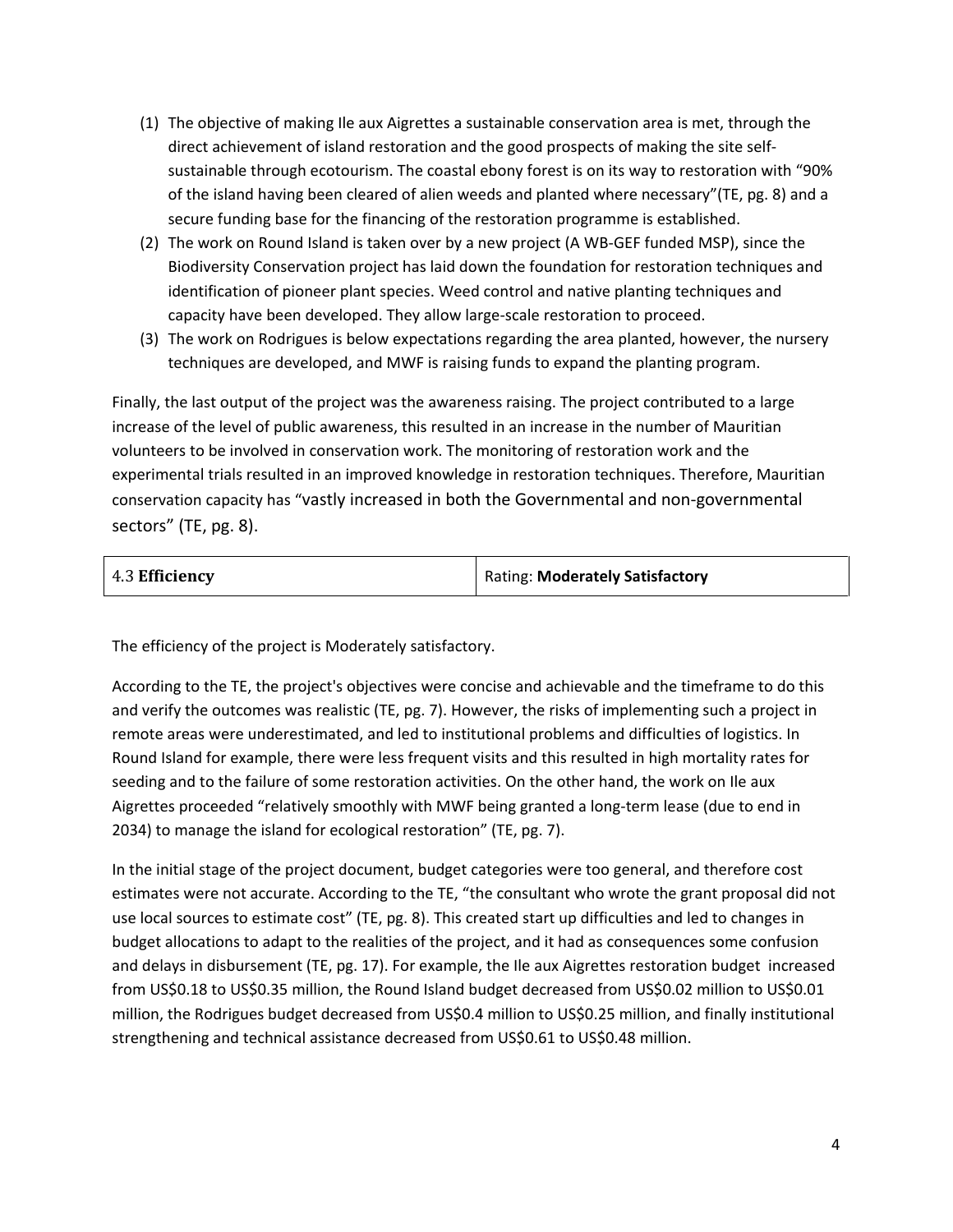- (1) The objective of making Ile aux Aigrettes a sustainable conservation area is met, through the direct achievement of island restoration and the good prospects of making the site selfsustainable through ecotourism. The coastal ebony forest is on its way to restoration with "90% of the island having been cleared of alien weeds and planted where necessary"(TE, pg. 8) and a secure funding base for the financing of the restoration programme is established.
- (2) The work on Round Island is taken over by a new project (A WB-GEF funded MSP), since the Biodiversity Conservation project has laid down the foundation for restoration techniques and identification of pioneer plant species. Weed control and native planting techniques and capacity have been developed. They allow large-scale restoration to proceed.
- (3) The work on Rodrigues is below expectations regarding the area planted, however, the nursery techniques are developed, and MWF is raising funds to expand the planting program.

Finally, the last output of the project was the awareness raising. The project contributed to a large increase of the level of public awareness, this resulted in an increase in the number of Mauritian volunteers to be involved in conservation work. The monitoring of restoration work and the experimental trials resulted in an improved knowledge in restoration techniques. Therefore, Mauritian conservation capacity has "vastly increased in both the Governmental and non-governmental sectors" (TE, pg. 8).

| 4.3 Efficiency | <b>Rating: Moderately Satisfactory</b> |
|----------------|----------------------------------------|
|                |                                        |

The efficiency of the project is Moderately satisfactory.

According to the TE, the project's objectives were concise and achievable and the timeframe to do this and verify the outcomes was realistic (TE, pg. 7). However, the risks of implementing such a project in remote areas were underestimated, and led to institutional problems and difficulties of logistics. In Round Island for example, there were less frequent visits and this resulted in high mortality rates for seeding and to the failure of some restoration activities. On the other hand, the work on Ile aux Aigrettes proceeded "relatively smoothly with MWF being granted a long-term lease (due to end in 2034) to manage the island for ecological restoration" (TE, pg. 7).

In the initial stage of the project document, budget categories were too general, and therefore cost estimates were not accurate. According to the TE, "the consultant who wrote the grant proposal did not use local sources to estimate cost" (TE, pg. 8). This created start up difficulties and led to changes in budget allocations to adapt to the realities of the project, and it had as consequences some confusion and delays in disbursement (TE, pg. 17). For example, the Ile aux Aigrettes restoration budget increased from US\$0.18 to US\$0.35 million, the Round Island budget decreased from US\$0.02 million to US\$0.01 million, the Rodrigues budget decreased from US\$0.4 million to US\$0.25 million, and finally institutional strengthening and technical assistance decreased from US\$0.61 to US\$0.48 million.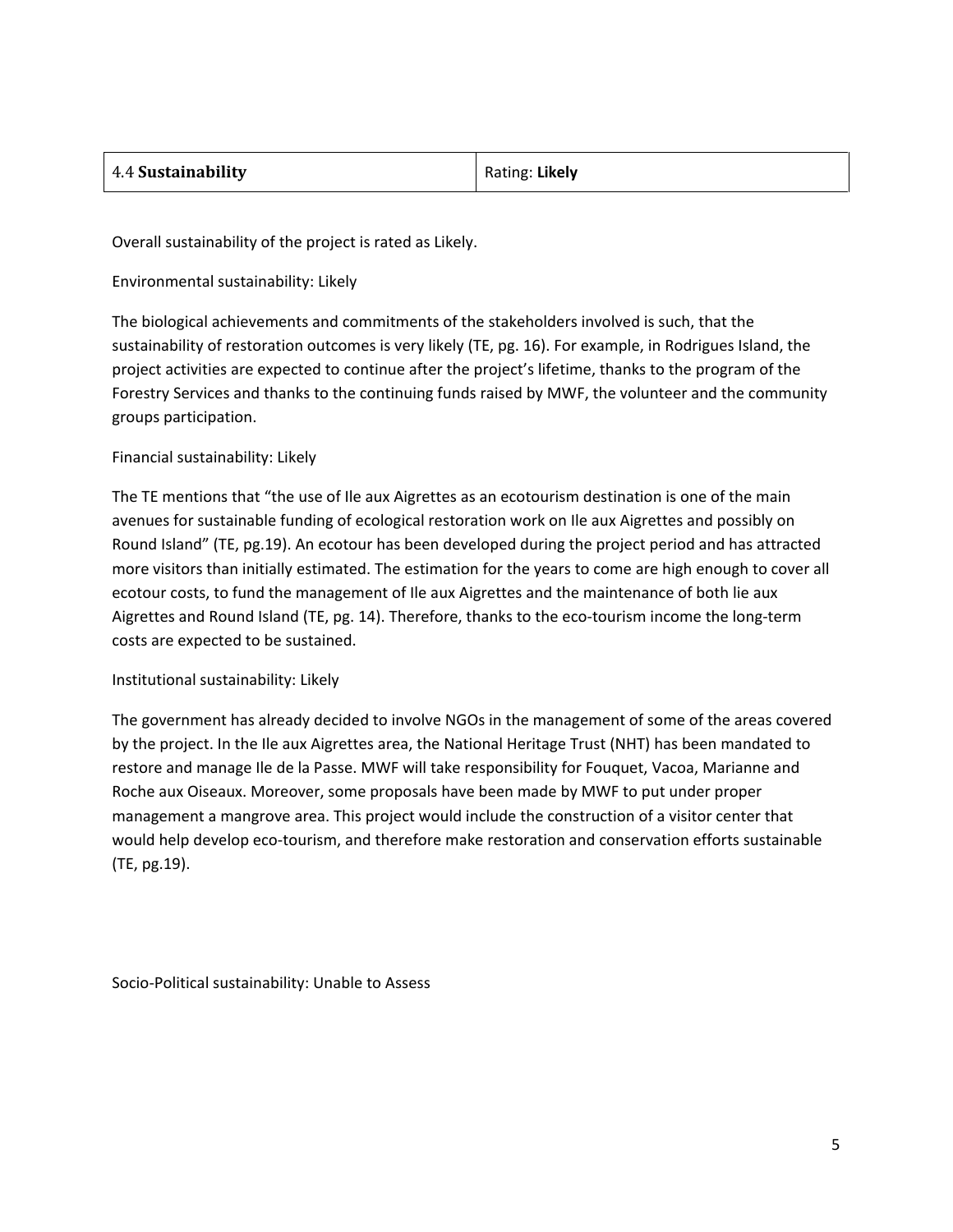| Rating: Likely |
|----------------|
|                |

Overall sustainability of the project is rated as Likely.

Environmental sustainability: Likely

The biological achievements and commitments of the stakeholders involved is such, that the sustainability of restoration outcomes is very likely (TE, pg. 16). For example, in Rodrigues Island, the project activities are expected to continue after the project's lifetime, thanks to the program of the Forestry Services and thanks to the continuing funds raised by MWF, the volunteer and the community groups participation.

#### Financial sustainability: Likely

The TE mentions that "the use of Ile aux Aigrettes as an ecotourism destination is one of the main avenues for sustainable funding of ecological restoration work on Ile aux Aigrettes and possibly on Round Island" (TE, pg.19). An ecotour has been developed during the project period and has attracted more visitors than initially estimated. The estimation for the years to come are high enough to cover all ecotour costs, to fund the management of Ile aux Aigrettes and the maintenance of both lie aux Aigrettes and Round Island (TE, pg. 14). Therefore, thanks to the eco-tourism income the long-term costs are expected to be sustained.

#### Institutional sustainability: Likely

The government has already decided to involve NGOs in the management of some of the areas covered by the project. In the Ile aux Aigrettes area, the National Heritage Trust (NHT) has been mandated to restore and manage Ile de la Passe. MWF will take responsibility for Fouquet, Vacoa, Marianne and Roche aux Oiseaux. Moreover, some proposals have been made by MWF to put under proper management a mangrove area. This project would include the construction of a visitor center that would help develop eco-tourism, and therefore make restoration and conservation efforts sustainable (TE, pg.19).

Socio-Political sustainability: Unable to Assess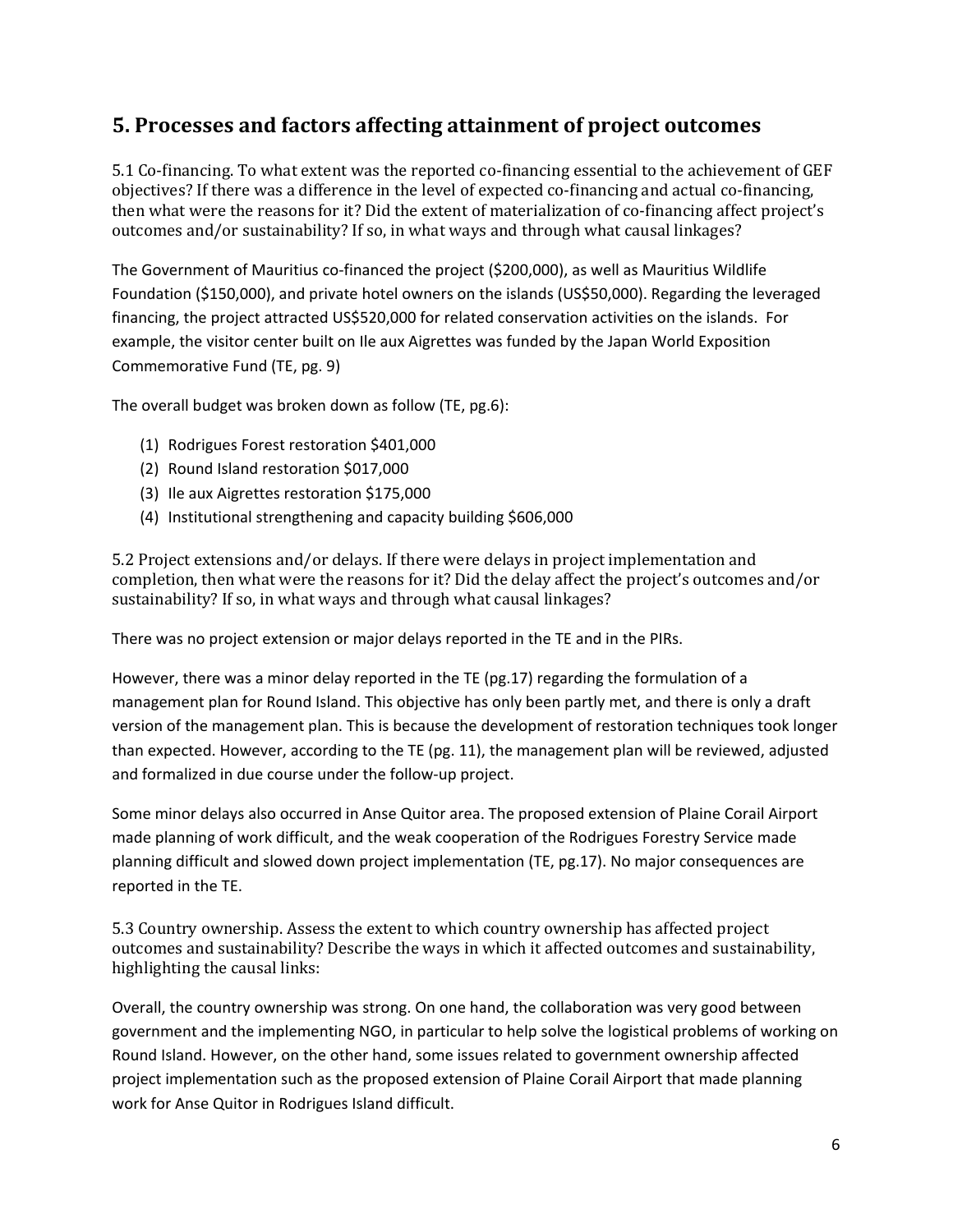### **5. Processes and factors affecting attainment of project outcomes**

5.1 Co-financing. To what extent was the reported co-financing essential to the achievement of GEF objectives? If there was a difference in the level of expected co-financing and actual co-financing, then what were the reasons for it? Did the extent of materialization of co-financing affect project's outcomes and/or sustainability? If so, in what ways and through what causal linkages?

The Government of Mauritius co-financed the project (\$200,000), as well as Mauritius Wildlife Foundation (\$150,000), and private hotel owners on the islands (US\$50,000). Regarding the leveraged financing, the project attracted US\$520,000 for related conservation activities on the islands. For example, the visitor center built on Ile aux Aigrettes was funded by the Japan World Exposition Commemorative Fund (TE, pg. 9)

The overall budget was broken down as follow (TE, pg.6):

- (1) Rodrigues Forest restoration \$401,000
- (2) Round Island restoration \$017,000
- (3) Ile aux Aigrettes restoration \$175,000
- (4) Institutional strengthening and capacity building \$606,000

5.2 Project extensions and/or delays. If there were delays in project implementation and completion, then what were the reasons for it? Did the delay affect the project's outcomes and/or sustainability? If so, in what ways and through what causal linkages?

There was no project extension or major delays reported in the TE and in the PIRs.

However, there was a minor delay reported in the TE (pg.17) regarding the formulation of a management plan for Round Island. This objective has only been partly met, and there is only a draft version of the management plan. This is because the development of restoration techniques took longer than expected. However, according to the TE (pg. 11), the management plan will be reviewed, adjusted and formalized in due course under the follow-up project.

Some minor delays also occurred in Anse Quitor area. The proposed extension of Plaine Corail Airport made planning of work difficult, and the weak cooperation of the Rodrigues Forestry Service made planning difficult and slowed down project implementation (TE, pg.17). No major consequences are reported in the TE.

5.3 Country ownership. Assess the extent to which country ownership has affected project outcomes and sustainability? Describe the ways in which it affected outcomes and sustainability, highlighting the causal links:

Overall, the country ownership was strong. On one hand, the collaboration was very good between government and the implementing NGO, in particular to help solve the logistical problems of working on Round Island. However, on the other hand, some issues related to government ownership affected project implementation such as the proposed extension of Plaine Corail Airport that made planning work for Anse Quitor in Rodrigues Island difficult.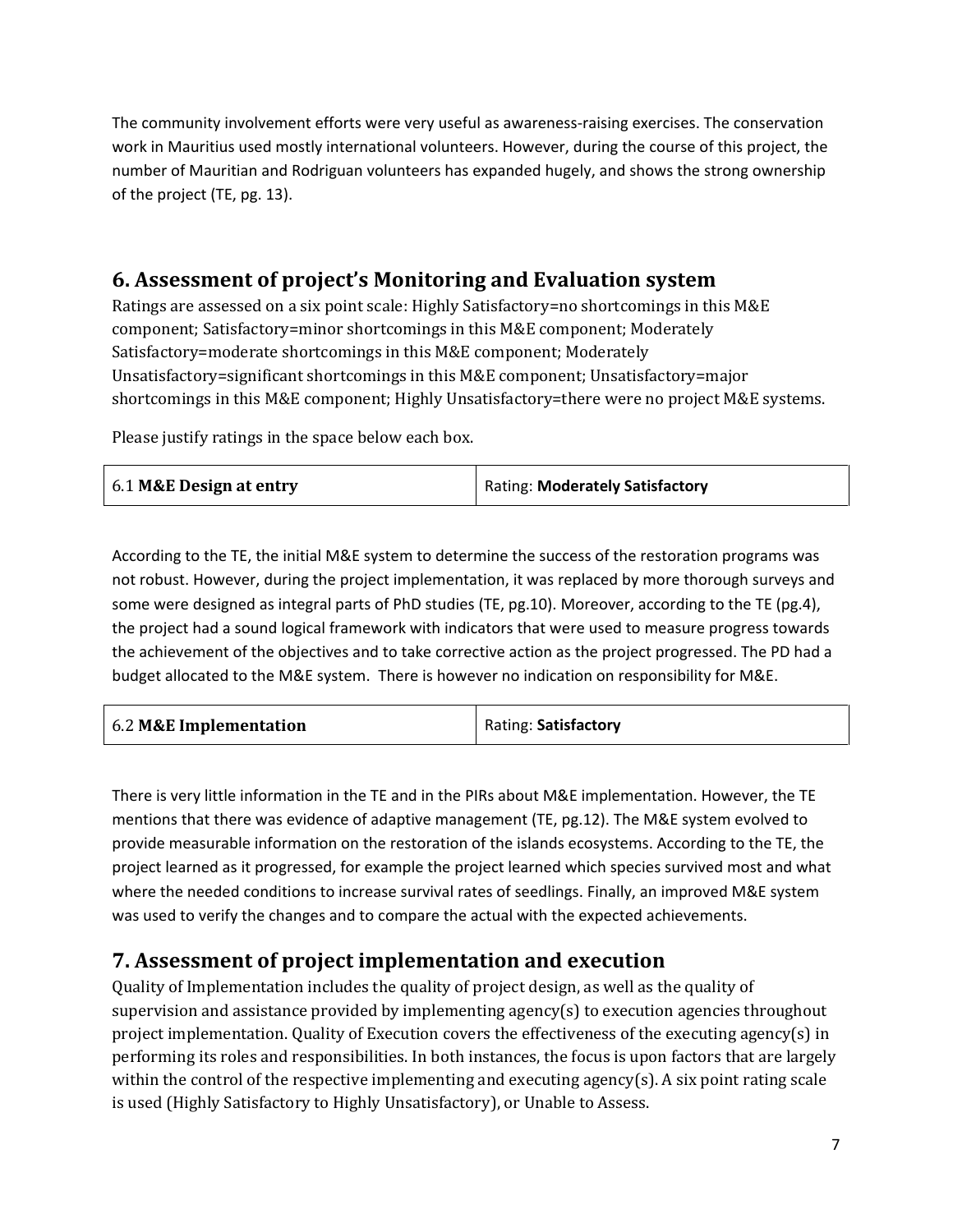The community involvement efforts were very useful as awareness-raising exercises. The conservation work in Mauritius used mostly international volunteers. However, during the course of this project, the number of Mauritian and Rodriguan volunteers has expanded hugely, and shows the strong ownership of the project (TE, pg. 13).

### **6. Assessment of project's Monitoring and Evaluation system**

Ratings are assessed on a six point scale: Highly Satisfactory=no shortcomings in this M&E component; Satisfactory=minor shortcomings in this M&E component; Moderately Satisfactory=moderate shortcomings in this M&E component; Moderately Unsatisfactory=significant shortcomings in this M&E component; Unsatisfactory=major shortcomings in this M&E component; Highly Unsatisfactory=there were no project M&E systems.

Please justify ratings in the space below each box.

|  | 6.1 M&E Design at entry | Rating: Moderately Satisfactory |
|--|-------------------------|---------------------------------|
|--|-------------------------|---------------------------------|

According to the TE, the initial M&E system to determine the success of the restoration programs was not robust. However, during the project implementation, it was replaced by more thorough surveys and some were designed as integral parts of PhD studies (TE, pg.10). Moreover, according to the TE (pg.4), the project had a sound logical framework with indicators that were used to measure progress towards the achievement of the objectives and to take corrective action as the project progressed. The PD had a budget allocated to the M&E system. There is however no indication on responsibility for M&E.

| 6.2 M&E Implementation | Rating: Satisfactory |
|------------------------|----------------------|
|                        |                      |

There is very little information in the TE and in the PIRs about M&E implementation. However, the TE mentions that there was evidence of adaptive management (TE, pg.12). The M&E system evolved to provide measurable information on the restoration of the islands ecosystems. According to the TE, the project learned as it progressed, for example the project learned which species survived most and what where the needed conditions to increase survival rates of seedlings. Finally, an improved M&E system was used to verify the changes and to compare the actual with the expected achievements.

#### **7. Assessment of project implementation and execution**

Quality of Implementation includes the quality of project design, as well as the quality of supervision and assistance provided by implementing agency(s) to execution agencies throughout project implementation. Quality of Execution covers the effectiveness of the executing agency(s) in performing its roles and responsibilities. In both instances, the focus is upon factors that are largely within the control of the respective implementing and executing agency(s). A six point rating scale is used (Highly Satisfactory to Highly Unsatisfactory), or Unable to Assess.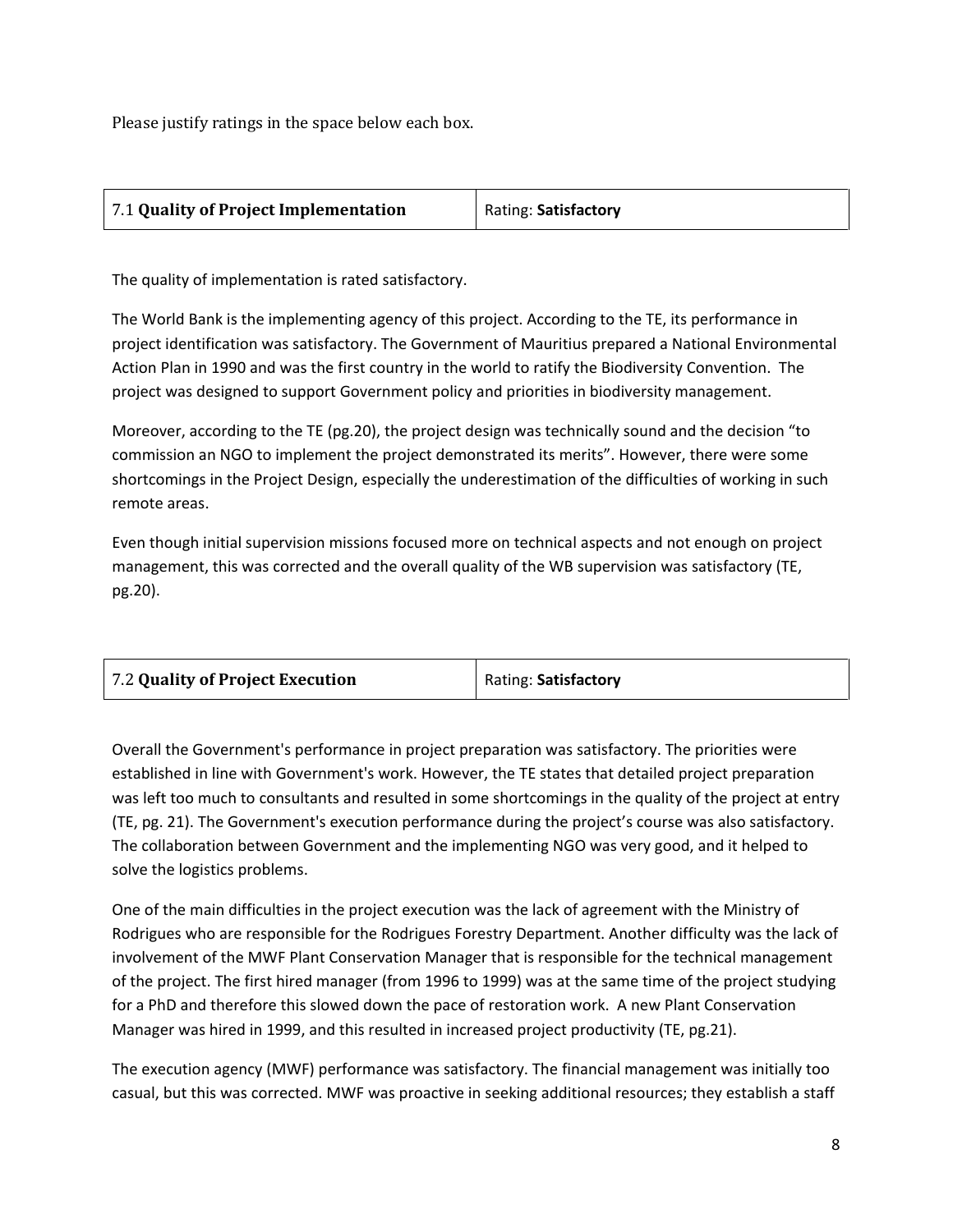Please justify ratings in the space below each box.

| Rating: Satisfactory |
|----------------------|
|                      |

The quality of implementation is rated satisfactory.

The World Bank is the implementing agency of this project. According to the TE, its performance in project identification was satisfactory. The Government of Mauritius prepared a National Environmental Action Plan in 1990 and was the first country in the world to ratify the Biodiversity Convention. The project was designed to support Government policy and priorities in biodiversity management.

Moreover, according to the TE (pg.20), the project design was technically sound and the decision "to commission an NGO to implement the project demonstrated its merits". However, there were some shortcomings in the Project Design, especially the underestimation of the difficulties of working in such remote areas.

Even though initial supervision missions focused more on technical aspects and not enough on project management, this was corrected and the overall quality of the WB supervision was satisfactory (TE, pg.20).

| 7.2 Quality of Project Execution | Rating: Satisfactory |
|----------------------------------|----------------------|
|----------------------------------|----------------------|

Overall the Government's performance in project preparation was satisfactory. The priorities were established in line with Government's work. However, the TE states that detailed project preparation was left too much to consultants and resulted in some shortcomings in the quality of the project at entry (TE, pg. 21). The Government's execution performance during the project's course was also satisfactory. The collaboration between Government and the implementing NGO was very good, and it helped to solve the logistics problems.

One of the main difficulties in the project execution was the lack of agreement with the Ministry of Rodrigues who are responsible for the Rodrigues Forestry Department. Another difficulty was the lack of involvement of the MWF Plant Conservation Manager that is responsible for the technical management of the project. The first hired manager (from 1996 to 1999) was at the same time of the project studying for a PhD and therefore this slowed down the pace of restoration work. A new Plant Conservation Manager was hired in 1999, and this resulted in increased project productivity (TE, pg.21).

The execution agency (MWF) performance was satisfactory. The financial management was initially too casual, but this was corrected. MWF was proactive in seeking additional resources; they establish a staff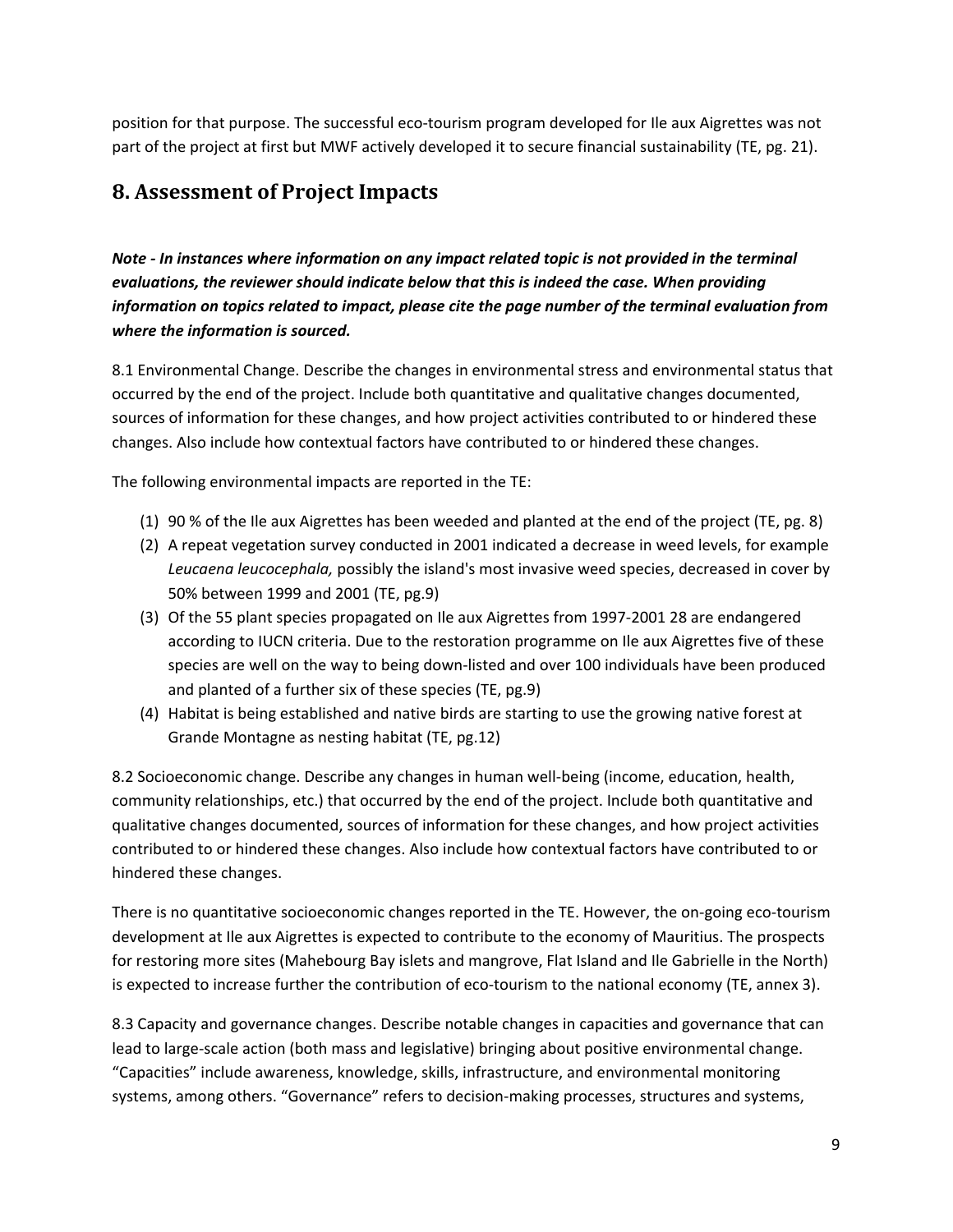position for that purpose. The successful eco-tourism program developed for Ile aux Aigrettes was not part of the project at first but MWF actively developed it to secure financial sustainability (TE, pg. 21).

### **8. Assessment of Project Impacts**

*Note - In instances where information on any impact related topic is not provided in the terminal evaluations, the reviewer should indicate below that this is indeed the case. When providing information on topics related to impact, please cite the page number of the terminal evaluation from where the information is sourced.* 

8.1 Environmental Change. Describe the changes in environmental stress and environmental status that occurred by the end of the project. Include both quantitative and qualitative changes documented, sources of information for these changes, and how project activities contributed to or hindered these changes. Also include how contextual factors have contributed to or hindered these changes.

The following environmental impacts are reported in the TE:

- (1) 90 % of the Ile aux Aigrettes has been weeded and planted at the end of the project (TE, pg. 8)
- (2) A repeat vegetation survey conducted in 2001 indicated a decrease in weed levels, for example *Leucaena leucocephala,* possibly the island's most invasive weed species, decreased in cover by 50% between 1999 and 2001 (TE, pg.9)
- (3) Of the 55 plant species propagated on Ile aux Aigrettes from 1997-2001 28 are endangered according to IUCN criteria. Due to the restoration programme on Ile aux Aigrettes five of these species are well on the way to being down-listed and over 100 individuals have been produced and planted of a further six of these species (TE, pg.9)
- (4) Habitat is being established and native birds are starting to use the growing native forest at Grande Montagne as nesting habitat (TE, pg.12)

8.2 Socioeconomic change. Describe any changes in human well-being (income, education, health, community relationships, etc.) that occurred by the end of the project. Include both quantitative and qualitative changes documented, sources of information for these changes, and how project activities contributed to or hindered these changes. Also include how contextual factors have contributed to or hindered these changes.

There is no quantitative socioeconomic changes reported in the TE. However, the on-going eco-tourism development at Ile aux Aigrettes is expected to contribute to the economy of Mauritius. The prospects for restoring more sites (Mahebourg Bay islets and mangrove, Flat Island and Ile Gabrielle in the North) is expected to increase further the contribution of eco-tourism to the national economy (TE, annex 3).

8.3 Capacity and governance changes. Describe notable changes in capacities and governance that can lead to large-scale action (both mass and legislative) bringing about positive environmental change. "Capacities" include awareness, knowledge, skills, infrastructure, and environmental monitoring systems, among others. "Governance" refers to decision-making processes, structures and systems,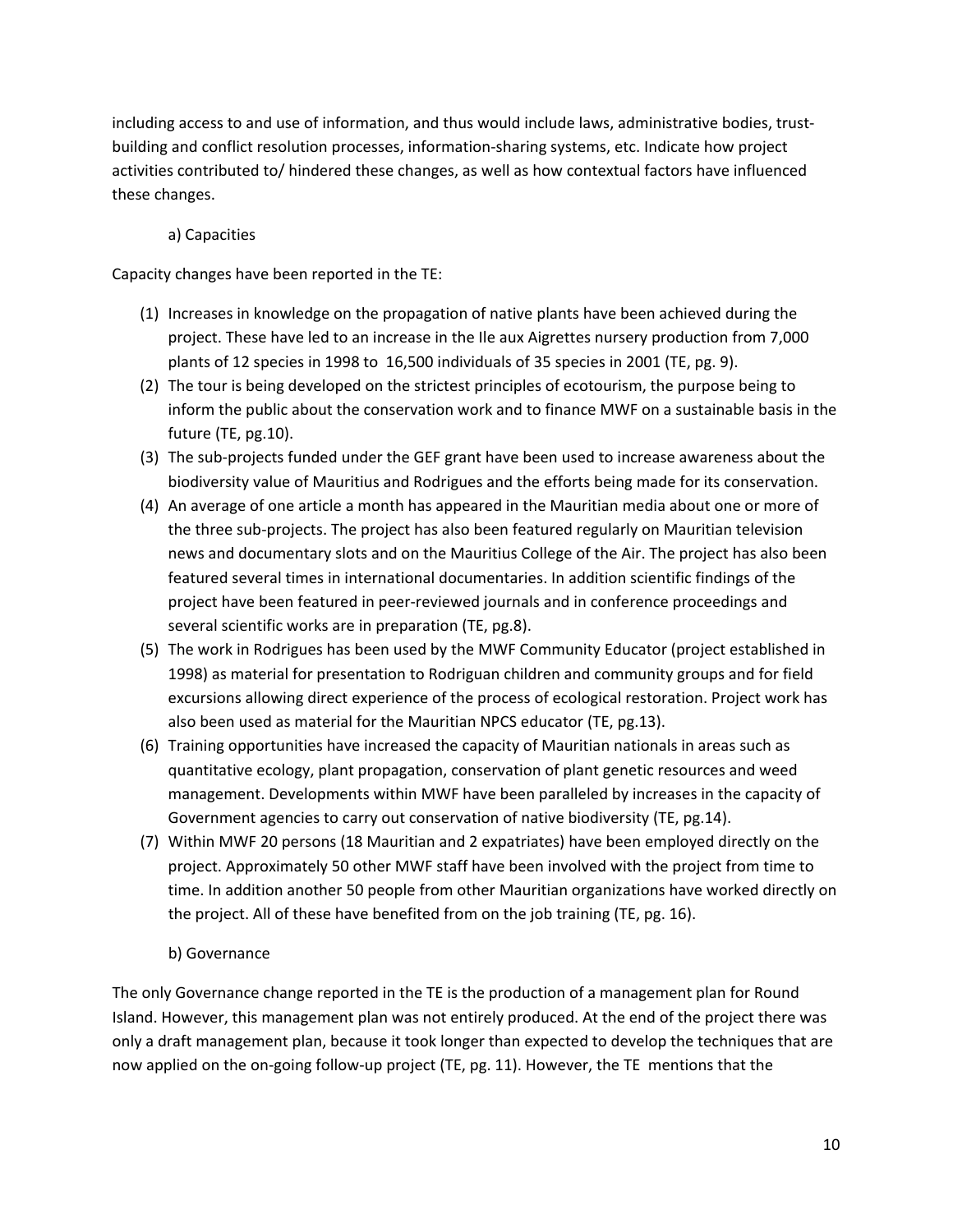including access to and use of information, and thus would include laws, administrative bodies, trustbuilding and conflict resolution processes, information-sharing systems, etc. Indicate how project activities contributed to/ hindered these changes, as well as how contextual factors have influenced these changes.

#### a) Capacities

Capacity changes have been reported in the TE:

- (1) Increases in knowledge on the propagation of native plants have been achieved during the project. These have led to an increase in the Ile aux Aigrettes nursery production from 7,000 plants of 12 species in 1998 to 16,500 individuals of 35 species in 2001 (TE, pg. 9).
- (2) The tour is being developed on the strictest principles of ecotourism, the purpose being to inform the public about the conservation work and to finance MWF on a sustainable basis in the future (TE, pg.10).
- (3) The sub-projects funded under the GEF grant have been used to increase awareness about the biodiversity value of Mauritius and Rodrigues and the efforts being made for its conservation.
- (4) An average of one article a month has appeared in the Mauritian media about one or more of the three sub-projects. The project has also been featured regularly on Mauritian television news and documentary slots and on the Mauritius College of the Air. The project has also been featured several times in international documentaries. In addition scientific findings of the project have been featured in peer-reviewed journals and in conference proceedings and several scientific works are in preparation (TE, pg.8).
- (5) The work in Rodrigues has been used by the MWF Community Educator (project established in 1998) as material for presentation to Rodriguan children and community groups and for field excursions allowing direct experience of the process of ecological restoration. Project work has also been used as material for the Mauritian NPCS educator (TE, pg.13).
- (6) Training opportunities have increased the capacity of Mauritian nationals in areas such as quantitative ecology, plant propagation, conservation of plant genetic resources and weed management. Developments within MWF have been paralleled by increases in the capacity of Government agencies to carry out conservation of native biodiversity (TE, pg.14).
- (7) Within MWF 20 persons (18 Mauritian and 2 expatriates) have been employed directly on the project. Approximately 50 other MWF staff have been involved with the project from time to time. In addition another 50 people from other Mauritian organizations have worked directly on the project. All of these have benefited from on the job training (TE, pg. 16).

#### b) Governance

The only Governance change reported in the TE is the production of a management plan for Round Island. However, this management plan was not entirely produced. At the end of the project there was only a draft management plan, because it took longer than expected to develop the techniques that are now applied on the on-going follow-up project (TE, pg. 11). However, the TE mentions that the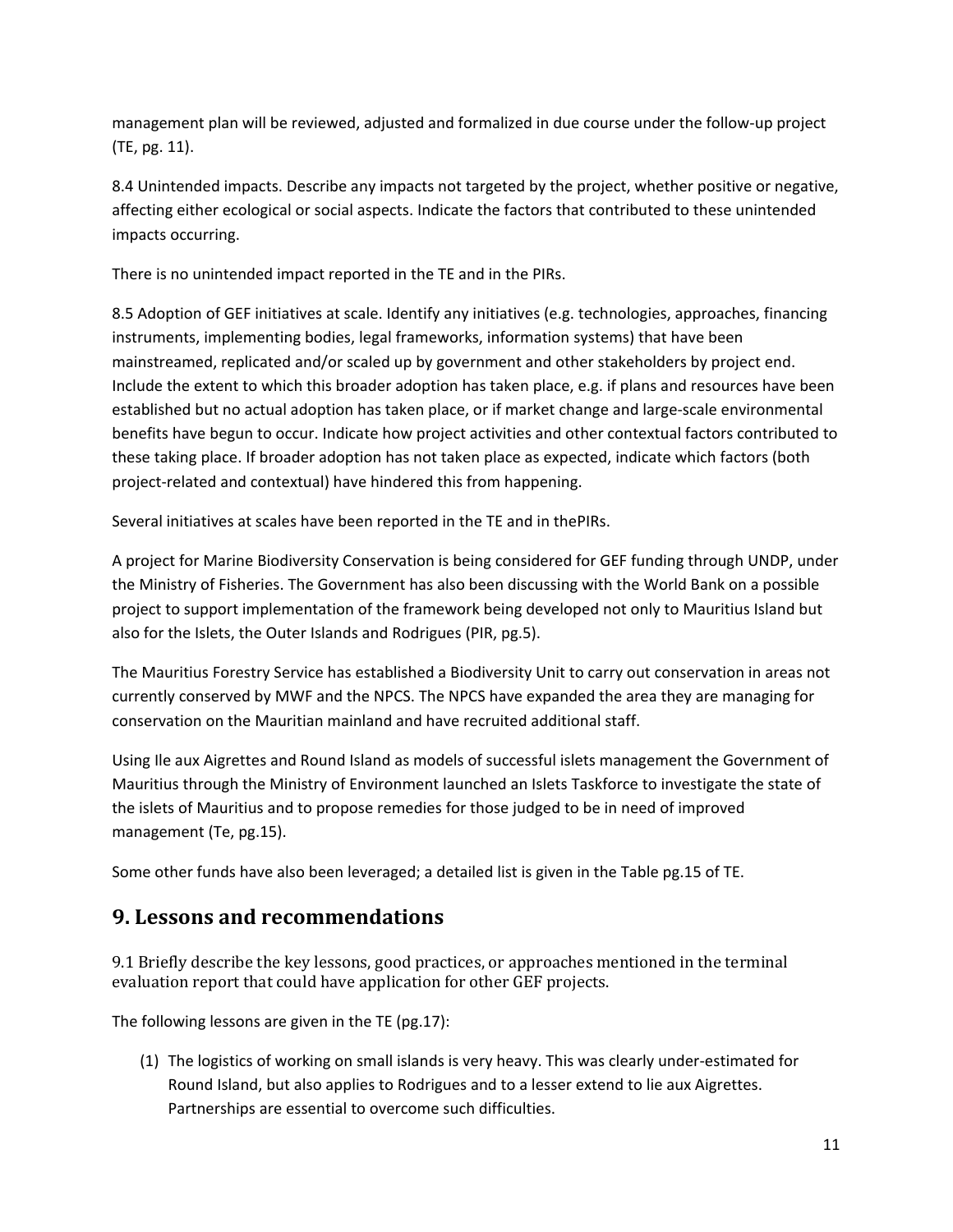management plan will be reviewed, adjusted and formalized in due course under the follow-up project (TE, pg. 11).

8.4 Unintended impacts. Describe any impacts not targeted by the project, whether positive or negative, affecting either ecological or social aspects. Indicate the factors that contributed to these unintended impacts occurring.

There is no unintended impact reported in the TE and in the PIRs.

8.5 Adoption of GEF initiatives at scale. Identify any initiatives (e.g. technologies, approaches, financing instruments, implementing bodies, legal frameworks, information systems) that have been mainstreamed, replicated and/or scaled up by government and other stakeholders by project end. Include the extent to which this broader adoption has taken place, e.g. if plans and resources have been established but no actual adoption has taken place, or if market change and large-scale environmental benefits have begun to occur. Indicate how project activities and other contextual factors contributed to these taking place. If broader adoption has not taken place as expected, indicate which factors (both project-related and contextual) have hindered this from happening.

Several initiatives at scales have been reported in the TE and in thePIRs.

A project for Marine Biodiversity Conservation is being considered for GEF funding through UNDP, under the Ministry of Fisheries. The Government has also been discussing with the World Bank on a possible project to support implementation of the framework being developed not only to Mauritius Island but also for the Islets, the Outer Islands and Rodrigues (PIR, pg.5).

The Mauritius Forestry Service has established a Biodiversity Unit to carry out conservation in areas not currently conserved by MWF and the NPCS. The NPCS have expanded the area they are managing for conservation on the Mauritian mainland and have recruited additional staff.

Using Ile aux Aigrettes and Round Island as models of successful islets management the Government of Mauritius through the Ministry of Environment launched an Islets Taskforce to investigate the state of the islets of Mauritius and to propose remedies for those judged to be in need of improved management (Te, pg.15).

Some other funds have also been leveraged; a detailed list is given in the Table pg.15 of TE.

#### **9. Lessons and recommendations**

9.1 Briefly describe the key lessons, good practices, or approaches mentioned in the terminal evaluation report that could have application for other GEF projects.

The following lessons are given in the TE (pg.17):

(1) The logistics of working on small islands is very heavy. This was clearly under-estimated for Round Island, but also applies to Rodrigues and to a lesser extend to lie aux Aigrettes. Partnerships are essential to overcome such difficulties.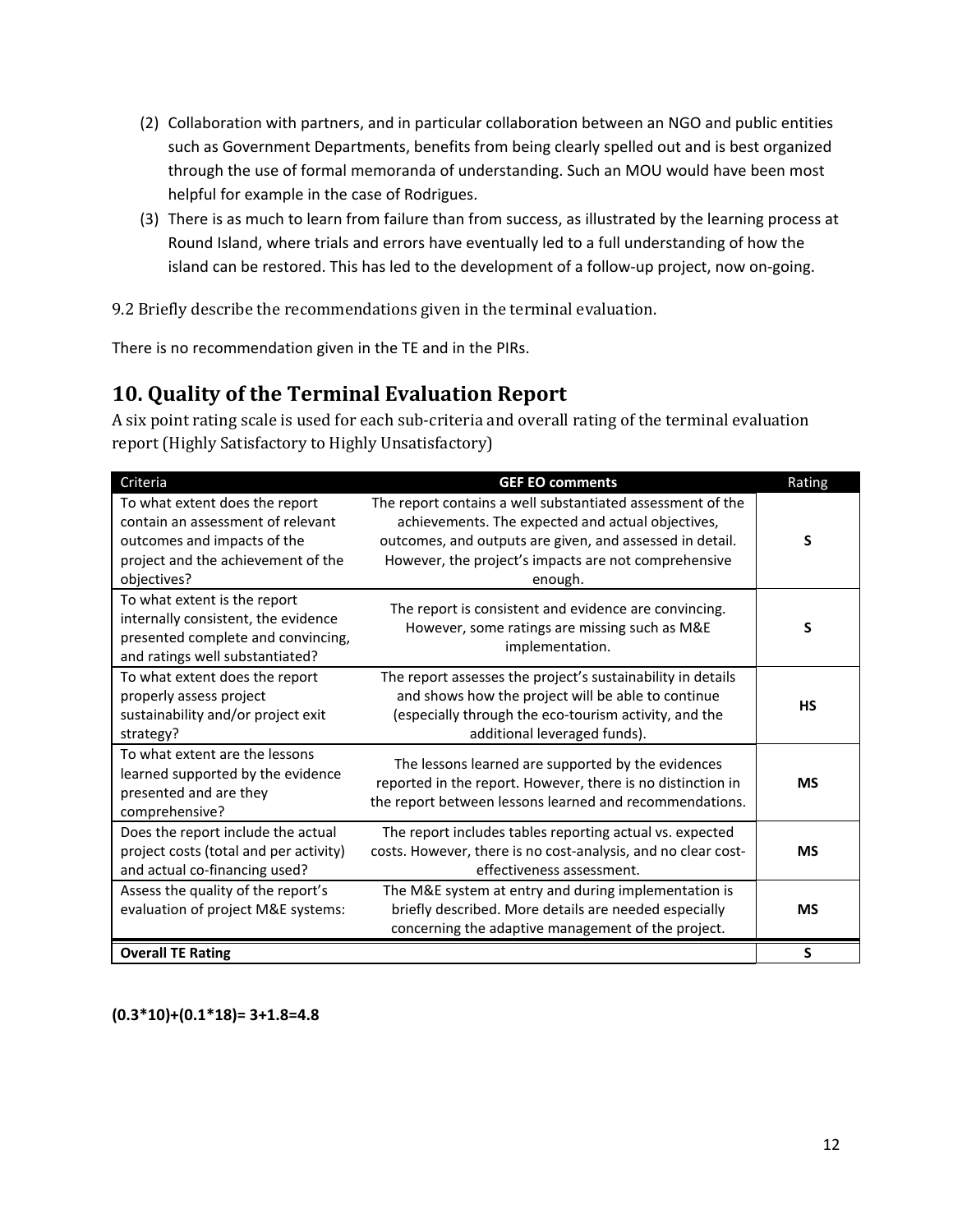- (2) Collaboration with partners, and in particular collaboration between an NGO and public entities such as Government Departments, benefits from being clearly spelled out and is best organized through the use of formal memoranda of understanding. Such an MOU would have been most helpful for example in the case of Rodrigues.
- (3) There is as much to learn from failure than from success, as illustrated by the learning process at Round Island, where trials and errors have eventually led to a full understanding of how the island can be restored. This has led to the development of a follow-up project, now on-going.

9.2 Briefly describe the recommendations given in the terminal evaluation.

There is no recommendation given in the TE and in the PIRs.

#### **10. Quality of the Terminal Evaluation Report**

A six point rating scale is used for each sub-criteria and overall rating of the terminal evaluation report (Highly Satisfactory to Highly Unsatisfactory)

| Criteria                                                                                                                                                | <b>GEF EO comments</b>                                                                                                                                                                                                                         | Rating    |
|---------------------------------------------------------------------------------------------------------------------------------------------------------|------------------------------------------------------------------------------------------------------------------------------------------------------------------------------------------------------------------------------------------------|-----------|
| To what extent does the report<br>contain an assessment of relevant<br>outcomes and impacts of the<br>project and the achievement of the<br>objectives? | The report contains a well substantiated assessment of the<br>achievements. The expected and actual objectives,<br>outcomes, and outputs are given, and assessed in detail.<br>However, the project's impacts are not comprehensive<br>enough. | S         |
| To what extent is the report<br>internally consistent, the evidence<br>presented complete and convincing,<br>and ratings well substantiated?            | The report is consistent and evidence are convincing.<br>However, some ratings are missing such as M&E<br>implementation.                                                                                                                      | S         |
| To what extent does the report<br>properly assess project<br>sustainability and/or project exit<br>strategy?                                            | The report assesses the project's sustainability in details<br>and shows how the project will be able to continue<br>(especially through the eco-tourism activity, and the<br>additional leveraged funds).                                     | <b>HS</b> |
| To what extent are the lessons<br>learned supported by the evidence<br>presented and are they<br>comprehensive?                                         | The lessons learned are supported by the evidences<br>reported in the report. However, there is no distinction in<br>the report between lessons learned and recommendations.                                                                   | <b>MS</b> |
| Does the report include the actual<br>project costs (total and per activity)<br>and actual co-financing used?                                           | The report includes tables reporting actual vs. expected<br>costs. However, there is no cost-analysis, and no clear cost-<br>effectiveness assessment.                                                                                         | <b>MS</b> |
| Assess the quality of the report's<br>evaluation of project M&E systems:                                                                                | The M&E system at entry and during implementation is<br>briefly described. More details are needed especially<br>concerning the adaptive management of the project.                                                                            | <b>MS</b> |
| <b>Overall TE Rating</b>                                                                                                                                |                                                                                                                                                                                                                                                | S         |

**(0.3\*10)+(0.1\*18)= 3+1.8=4.8**